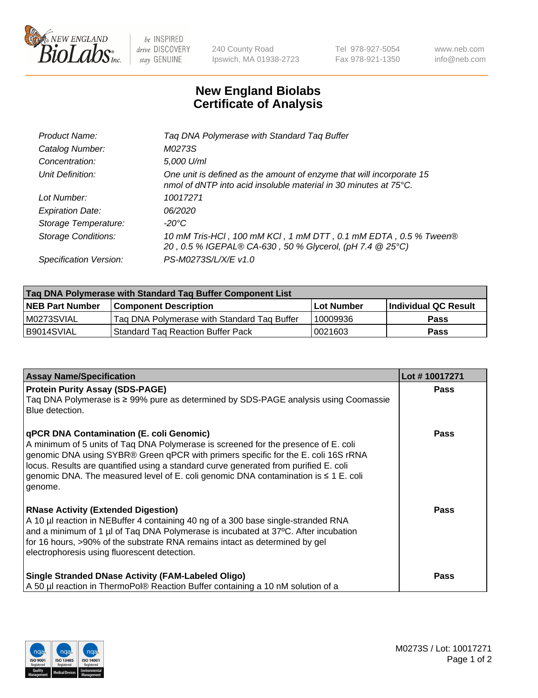

 $be$  INSPIRED drive DISCOVERY stay GENUINE

240 County Road Ipswich, MA 01938-2723 Tel 978-927-5054 Fax 978-921-1350 www.neb.com info@neb.com

## **New England Biolabs Certificate of Analysis**

| Product Name:              | Tag DNA Polymerase with Standard Tag Buffer                                                                                              |
|----------------------------|------------------------------------------------------------------------------------------------------------------------------------------|
| Catalog Number:            | M0273S                                                                                                                                   |
| Concentration:             | 5,000 U/ml                                                                                                                               |
| Unit Definition:           | One unit is defined as the amount of enzyme that will incorporate 15<br>nmol of dNTP into acid insoluble material in 30 minutes at 75°C. |
| Lot Number:                | 10017271                                                                                                                                 |
| <b>Expiration Date:</b>    | 06/2020                                                                                                                                  |
| Storage Temperature:       | $-20^{\circ}$ C                                                                                                                          |
| <b>Storage Conditions:</b> | 10 mM Tris-HCl, 100 mM KCl, 1 mM DTT, 0.1 mM EDTA, 0.5 % Tween®<br>20, 0.5 % IGEPAL® CA-630, 50 % Glycerol, (pH 7.4 @ 25°C)              |
| Specification Version:     | PS-M0273S/L/X/E v1.0                                                                                                                     |
|                            |                                                                                                                                          |

| Taq DNA Polymerase with Standard Taq Buffer Component List |                                             |                   |                      |  |
|------------------------------------------------------------|---------------------------------------------|-------------------|----------------------|--|
| <b>NEB Part Number</b>                                     | Component Description_                      | <b>Lot Number</b> | Individual QC Result |  |
| M0273SVIAL                                                 | Tag DNA Polymerase with Standard Tag Buffer | 10009936          | <b>Pass</b>          |  |
| B9014SVIAL                                                 | Standard Tag Reaction Buffer Pack           | 0021603           | Pass                 |  |

| <b>Assay Name/Specification</b>                                                                                                                                                                                                                                                                                                                                                                                    | Lot #10017271 |
|--------------------------------------------------------------------------------------------------------------------------------------------------------------------------------------------------------------------------------------------------------------------------------------------------------------------------------------------------------------------------------------------------------------------|---------------|
| <b>Protein Purity Assay (SDS-PAGE)</b><br>Taq DNA Polymerase is ≥ 99% pure as determined by SDS-PAGE analysis using Coomassie<br>Blue detection.                                                                                                                                                                                                                                                                   | <b>Pass</b>   |
| qPCR DNA Contamination (E. coli Genomic)<br>A minimum of 5 units of Taq DNA Polymerase is screened for the presence of E. coli<br>genomic DNA using SYBR® Green qPCR with primers specific for the E. coli 16S rRNA<br>locus. Results are quantified using a standard curve generated from purified E. coli<br>genomic DNA. The measured level of E. coli genomic DNA contamination is $\leq 1$ E. coli<br>genome. | <b>Pass</b>   |
| <b>RNase Activity (Extended Digestion)</b><br>A 10 µl reaction in NEBuffer 4 containing 40 ng of a 300 base single-stranded RNA<br>and a minimum of 1 µl of Taq DNA Polymerase is incubated at 37°C. After incubation<br>for 16 hours, >90% of the substrate RNA remains intact as determined by gel<br>electrophoresis using fluorescent detection.                                                               | Pass          |
| <b>Single Stranded DNase Activity (FAM-Labeled Oligo)</b><br>A 50 µl reaction in ThermoPol® Reaction Buffer containing a 10 nM solution of a                                                                                                                                                                                                                                                                       | Pass          |